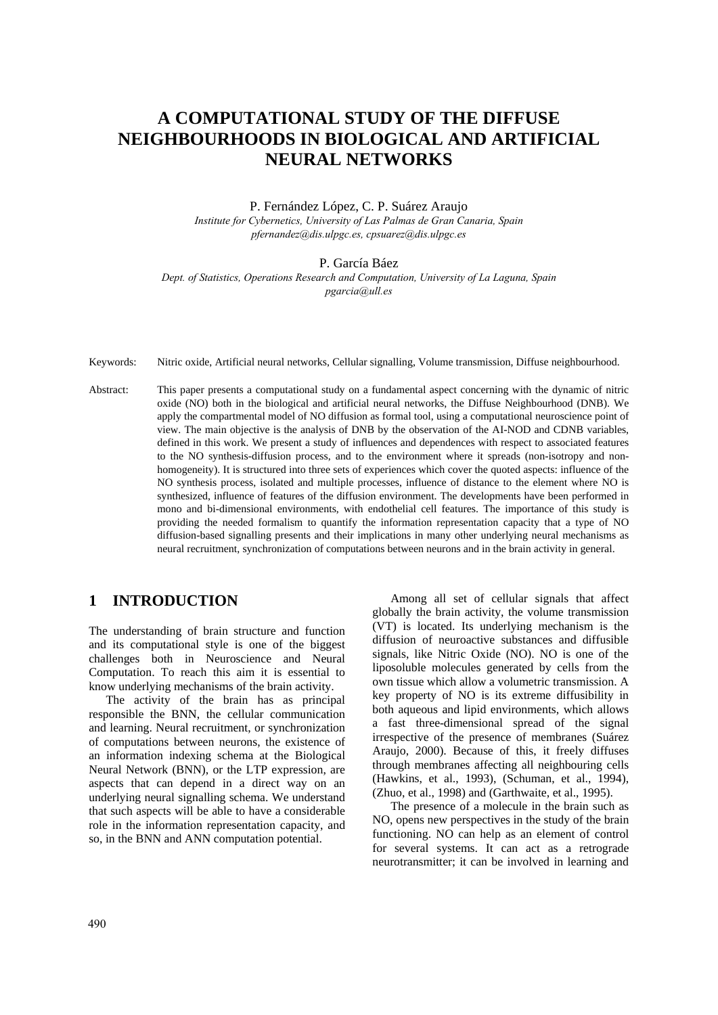# **A COMPUTATIONAL STUDY OF THE DIFFUSE NEIGHBOURHOODS IN BIOLOGICAL AND ARTIFICIAL NEURAL NETWORKS**

### P. Fernández López, C. P. Suárez Araujo *Institute for Cybernetics, University of Las Palmas de Gran Canaria, Spain pfernandez@dis.ulpgc.es, cpsuarez@dis.ulpgc.es*

### P. García Báez

*Dept. of Statistics, Operations Research and Computation, University of La Laguna, Spain pgarcia@ull.es* 

Keywords: Nitric oxide, Artificial neural networks, Cellular signalling, Volume transmission, Diffuse neighbourhood.

Abstract: This paper presents a computational study on a fundamental aspect concerning with the dynamic of nitric oxide (NO) both in the biological and artificial neural networks, the Diffuse Neighbourhood (DNB). We apply the compartmental model of NO diffusion as formal tool, using a computational neuroscience point of view. The main objective is the analysis of DNB by the observation of the AI-NOD and CDNB variables, defined in this work. We present a study of influences and dependences with respect to associated features to the NO synthesis-diffusion process, and to the environment where it spreads (non-isotropy and nonhomogeneity). It is structured into three sets of experiences which cover the quoted aspects: influence of the NO synthesis process, isolated and multiple processes, influence of distance to the element where NO is synthesized, influence of features of the diffusion environment. The developments have been performed in mono and bi-dimensional environments, with endothelial cell features. The importance of this study is providing the needed formalism to quantify the information representation capacity that a type of NO diffusion-based signalling presents and their implications in many other underlying neural mechanisms as neural recruitment, synchronization of computations between neurons and in the brain activity in general.

# **1 INTRODUCTION**

The understanding of brain structure and function and its computational style is one of the biggest challenges both in Neuroscience and Neural Computation. To reach this aim it is essential to know underlying mechanisms of the brain activity.

The activity of the brain has as principal responsible the BNN, the cellular communication and learning. Neural recruitment, or synchronization of computations between neurons, the existence of an information indexing schema at the Biological Neural Network (BNN), or the LTP expression, are aspects that can depend in a direct way on an underlying neural signalling schema. We understand that such aspects will be able to have a considerable role in the information representation capacity, and so, in the BNN and ANN computation potential.

Among all set of cellular signals that affect globally the brain activity, the volume transmission (VT) is located. Its underlying mechanism is the diffusion of neuroactive substances and diffusible signals, like Nitric Oxide (NO). NO is one of the liposoluble molecules generated by cells from the own tissue which allow a volumetric transmission. A key property of NO is its extreme diffusibility in both aqueous and lipid environments, which allows a fast three-dimensional spread of the signal irrespective of the presence of membranes (Suárez Araujo, 2000). Because of this, it freely diffuses through membranes affecting all neighbouring cells (Hawkins, et al., 1993), (Schuman, et al., 1994), (Zhuo, et al., 1998) and (Garthwaite, et al., 1995).

The presence of a molecule in the brain such as NO, opens new perspectives in the study of the brain functioning. NO can help as an element of control for several systems. It can act as a retrograde neurotransmitter; it can be involved in learning and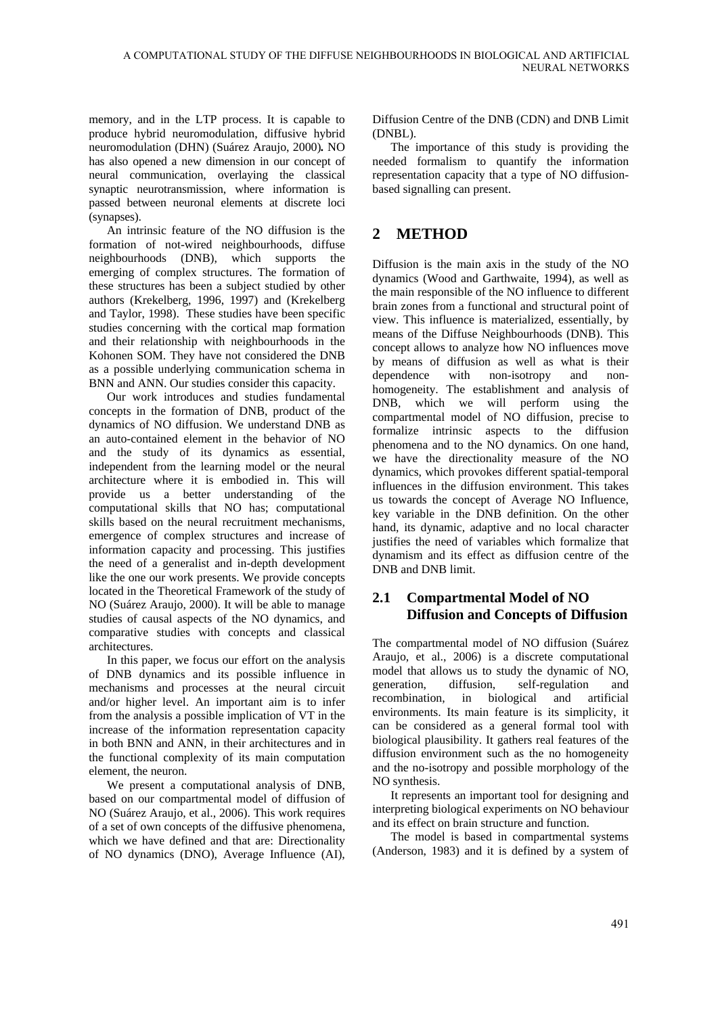memory, and in the LTP process. It is capable to produce hybrid neuromodulation, diffusive hybrid neuromodulation (DHN) (Suárez Araujo, 2000)*.* NO has also opened a new dimension in our concept of neural communication, overlaying the classical synaptic neurotransmission, where information is passed between neuronal elements at discrete loci (synapses).

An intrinsic feature of the NO diffusion is the formation of not-wired neighbourhoods, diffuse neighbourhoods (DNB), which supports the emerging of complex structures. The formation of these structures has been a subject studied by other authors (Krekelberg, 1996, 1997) and (Krekelberg and Taylor, 1998). These studies have been specific studies concerning with the cortical map formation and their relationship with neighbourhoods in the Kohonen SOM. They have not considered the DNB as a possible underlying communication schema in BNN and ANN. Our studies consider this capacity.

Our work introduces and studies fundamental concepts in the formation of DNB, product of the dynamics of NO diffusion. We understand DNB as an auto-contained element in the behavior of NO and the study of its dynamics as essential, independent from the learning model or the neural architecture where it is embodied in. This will provide us a better understanding of the computational skills that NO has; computational skills based on the neural recruitment mechanisms, emergence of complex structures and increase of information capacity and processing. This justifies the need of a generalist and in-depth development like the one our work presents. We provide concepts located in the Theoretical Framework of the study of NO (Suárez Araujo, 2000). It will be able to manage studies of causal aspects of the NO dynamics, and comparative studies with concepts and classical architectures.

In this paper, we focus our effort on the analysis of DNB dynamics and its possible influence in mechanisms and processes at the neural circuit and/or higher level. An important aim is to infer from the analysis a possible implication of VT in the increase of the information representation capacity in both BNN and ANN, in their architectures and in the functional complexity of its main computation element, the neuron.

We present a computational analysis of DNB, based on our compartmental model of diffusion of NO (Suárez Araujo, et al., 2006). This work requires of a set of own concepts of the diffusive phenomena, which we have defined and that are: Directionality of NO dynamics (DNO), Average Influence (AI), Diffusion Centre of the DNB (CDN) and DNB Limit (DNBL).

The importance of this study is providing the needed formalism to quantify the information representation capacity that a type of NO diffusionbased signalling can present.

## **2 METHOD**

Diffusion is the main axis in the study of the NO dynamics (Wood and Garthwaite, 1994), as well as the main responsible of the NO influence to different brain zones from a functional and structural point of view. This influence is materialized, essentially, by means of the Diffuse Neighbourhoods (DNB). This concept allows to analyze how NO influences move by means of diffusion as well as what is their dependence with non-isotropy and nonhomogeneity. The establishment and analysis of DNB, which we will perform using the compartmental model of NO diffusion, precise to formalize intrinsic aspects to the diffusion phenomena and to the NO dynamics. On one hand, we have the directionality measure of the NO dynamics, which provokes different spatial-temporal influences in the diffusion environment. This takes us towards the concept of Average NO Influence, key variable in the DNB definition. On the other hand, its dynamic, adaptive and no local character justifies the need of variables which formalize that dynamism and its effect as diffusion centre of the DNB and DNB limit.

### **2.1 Compartmental Model of NO Diffusion and Concepts of Diffusion**

The compartmental model of NO diffusion (Suárez Araujo, et al., 2006) is a discrete computational model that allows us to study the dynamic of NO, generation, diffusion, self-regulation and recombination, in biological and artificial environments. Its main feature is its simplicity, it can be considered as a general formal tool with biological plausibility. It gathers real features of the diffusion environment such as the no homogeneity and the no-isotropy and possible morphology of the NO synthesis.

It represents an important tool for designing and interpreting biological experiments on NO behaviour and its effect on brain structure and function.

The model is based in compartmental systems (Anderson, 1983) and it is defined by a system of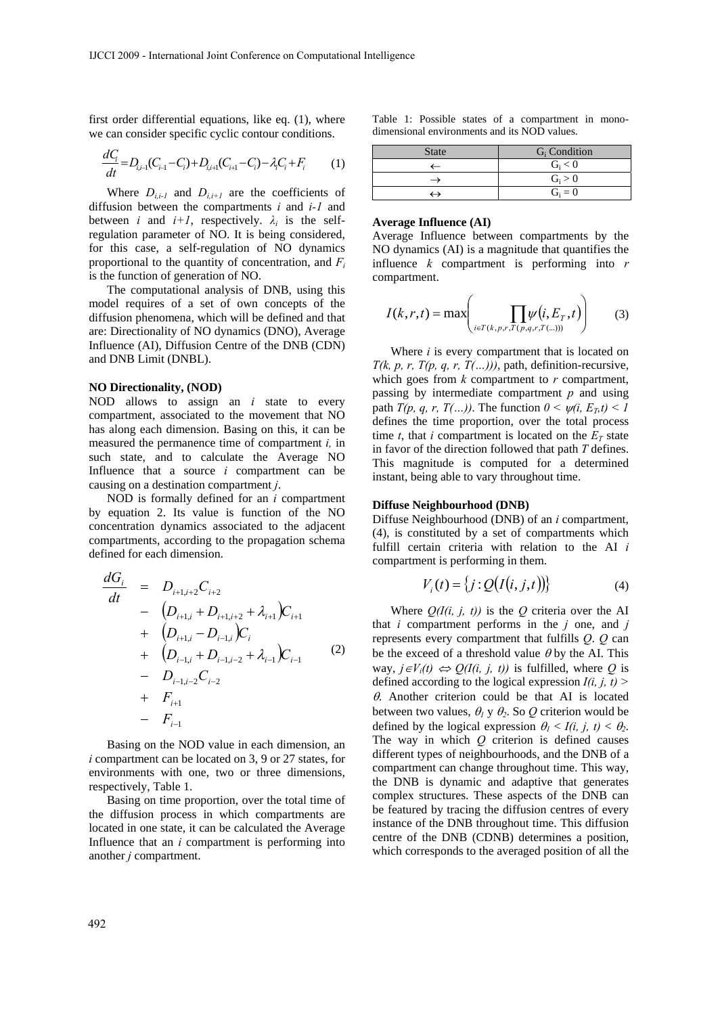first order differential equations, like eq. (1), where we can consider specific cyclic contour conditions.

$$
\frac{dC_i}{dt} = D_{i,i-1}(C_{i-1} - C_i) + D_{i,i+1}(C_{i+1} - C_i) - \lambda_i C_i + F_i \tag{1}
$$

Where  $D_{i,i-1}$  and  $D_{i,i+1}$  are the coefficients of diffusion between the compartments *i* and *i-1* and between *i* and  $i+1$ , respectively.  $\lambda_i$  is the selfregulation parameter of NO. It is being considered, for this case, a self-regulation of NO dynamics proportional to the quantity of concentration, and  $F_i$ is the function of generation of NO.

The computational analysis of DNB, using this model requires of a set of own concepts of the diffusion phenomena, which will be defined and that are: Directionality of NO dynamics (DNO), Average Influence (AI), Diffusion Centre of the DNB (CDN) and DNB Limit (DNBL).

#### **NO Directionality, (NOD)**

NOD allows to assign an *i* state to every compartment, associated to the movement that NO has along each dimension. Basing on this, it can be measured the permanence time of compartment *i,* in such state, and to calculate the Average NO Influence that a source *i* compartment can be causing on a destination compartment *j*.

NOD is formally defined for an *i* compartment by equation 2. Its value is function of the NO concentration dynamics associated to the adjacent compartments, according to the propagation schema defined for each dimension.

$$
\frac{dG_i}{dt} = D_{i+1,i+2}C_{i+2} \n- (D_{i+1,i} + D_{i+1,i+2} + \lambda_{i+1})C_{i+1} \n+ (D_{i+1,i} - D_{i-1,i})C_i \n+ (D_{i-1,i} + D_{i-1,i-2} + \lambda_{i-1})C_{i-1} \n- D_{i-1,i-2}C_{i-2} \n+ F_{i+1} \n- F_{i-1}
$$
\n(2)

Basing on the NOD value in each dimension, an *i* compartment can be located on 3, 9 or 27 states, for environments with one, two or three dimensions, respectively, Table 1.

Basing on time proportion, over the total time of the diffusion process in which compartments are located in one state, it can be calculated the Average Influence that an *i* compartment is performing into another *j* compartment.

Table 1: Possible states of a compartment in monodimensional environments and its NOD values.

| <b>State</b> | $G_i$ Condition |
|--------------|-----------------|
|              | $G_i < 0$       |
|              | $G_i > 0$       |
|              | $G_i = 0$       |

#### **Average Influence (AI)**

Average Influence between compartments by the NO dynamics (AI) is a magnitude that quantifies the influence *k* compartment is performing into *r* compartment.

$$
I(k,r,t) = \max\left(\prod_{i \in T(k,p,r,T(p,q,r,T(\ldots)))} \psi(i,E_T,t)\right) \tag{3}
$$

Where *i* is every compartment that is located on  $T(k, p, r, T(p, q, r, T(...)))$ , path, definition-recursive, which goes from  $k$  compartment to  $r$  compartment, passing by intermediate compartment *p* and using path  $T(p, q, r, T(...))$ . The function  $0 \leq \psi(i, E_T, t) \leq 1$ defines the time proportion, over the total process time *t*, that *i* compartment is located on the  $E_T$  state in favor of the direction followed that path *T* defines. This magnitude is computed for a determined instant, being able to vary throughout time.

#### **Diffuse Neighbourhood (DNB)**

Diffuse Neighbourhood (DNB) of an *i* compartment, (4), is constituted by a set of compartments which fulfill certain criteria with relation to the AI *i* compartment is performing in them.

$$
V_i(t) = \{j : Q(I(i, j, t))\}
$$
\n(4)

Where  $Q(I(i, j, t))$  is the  $Q$  criteria over the AI that  $i$  compartment performs in the  $j$  one, and  $j$ represents every compartment that fulfills *Q*. *Q* can be the exceed of a threshold value  $\theta$  by the AI. This way,  $j ∈ V_i(t) \Leftrightarrow Q(I(i, j, t))$  is fulfilled, where *Q* is defined according to the logical expression  $I(i, j, t)$  >  $\theta$ . Another criterion could be that AI is located between two values,  $\theta_1$  y  $\theta_2$ . So  $Q$  criterion would be defined by the logical expression  $\theta_l < I(i, j, t) < \theta_2$ . The way in which *Q* criterion is defined causes different types of neighbourhoods, and the DNB of a compartment can change throughout time. This way, the DNB is dynamic and adaptive that generates complex structures. These aspects of the DNB can be featured by tracing the diffusion centres of every instance of the DNB throughout time. This diffusion centre of the DNB (CDNB) determines a position, which corresponds to the averaged position of all the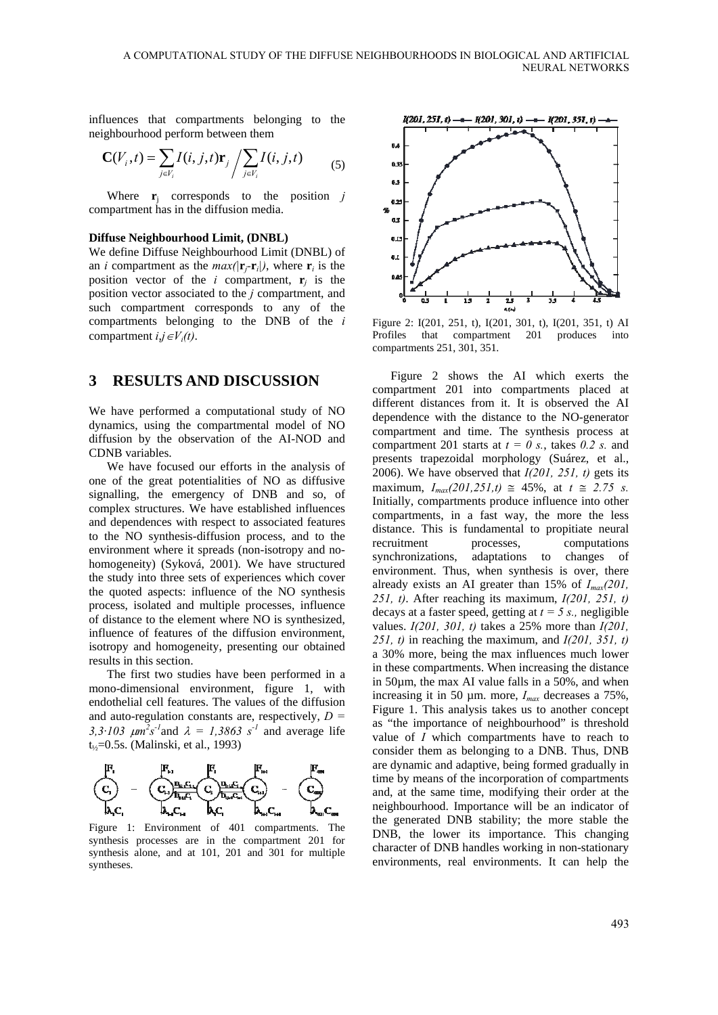influences that compartments belonging to the neighbourhood perform between them

$$
\mathbf{C}(V_i, t) = \sum_{j \in V_i} I(i, j, t) \mathbf{r}_j / \sum_{j \in V_i} I(i, j, t)
$$
 (5)

Where **r**j corresponds to the position *j* compartment has in the diffusion media.

#### **Diffuse Neighbourhood Limit, (DNBL)**

We define Diffuse Neighbourhood Limit (DNBL) of an *i* compartment as the  $max(|\mathbf{r}_i - \mathbf{r}_i|)$ , where  $\mathbf{r}_i$  is the position vector of the *i* compartment,  $\mathbf{r}_i$  is the position vector associated to the *j* compartment, and such compartment corresponds to any of the compartments belonging to the DNB of the *i* compartment  $i, j \in V_i(t)$ .

### **3 RESULTS AND DISCUSSION**

We have performed a computational study of NO dynamics, using the compartmental model of NO diffusion by the observation of the AI-NOD and CDNB variables.

We have focused our efforts in the analysis of one of the great potentialities of NO as diffusive signalling, the emergency of DNB and so, of complex structures. We have established influences and dependences with respect to associated features to the NO synthesis-diffusion process, and to the environment where it spreads (non-isotropy and nohomogeneity) (Syková, 2001). We have structured the study into three sets of experiences which cover the quoted aspects: influence of the NO synthesis process, isolated and multiple processes, influence of distance to the element where NO is synthesized, influence of features of the diffusion environment, isotropy and homogeneity, presenting our obtained results in this section.

The first two studies have been performed in a mono-dimensional environment, figure 1, with endothelial cell features. The values of the diffusion and auto-regulation constants are, respectively, *D =*  3,3·103  $\mu$ m<sup>2</sup>s<sup>-1</sup> and  $\lambda = 1,3863$  s<sup>-1</sup> and average life t½=0.5s. (Malinski, et al., 1993)



Figure 1: Environment of 401 compartments. The synthesis processes are in the compartment 201 for synthesis alone, and at 101, 201 and 301 for multiple syntheses.



Figure 2: I(201, 251, t), I(201, 301, t), I(201, 351, t) AI Profiles that compartment 201 produces into compartments 251, 301, 351.

Figure 2 shows the AI which exerts the compartment 201 into compartments placed at different distances from it. It is observed the AI dependence with the distance to the NO-generator compartment and time. The synthesis process at compartment 201 starts at  $t = 0$  s., takes 0.2 s. and presents trapezoidal morphology (Suárez, et al., 2006). We have observed that *I(201, 251, t)* gets its maximum,  $I_{max}(201,251,t) \approx 45\%$ , at  $t \approx 2.75$  *s*. Initially, compartments produce influence into other compartments, in a fast way, the more the less distance. This is fundamental to propitiate neural recruitment processes, computations synchronizations, adaptations to changes of environment. Thus, when synthesis is over, there already exists an AI greater than 15% of *Imax(201, 251, t)*. After reaching its maximum, *I(201, 251, t)*  decays at a faster speed, getting at  $t = 5$  s., negligible values. *I(201, 301, t)* takes a 25% more than *I(201, 251, t)* in reaching the maximum, and *I(201, 351, t)* a 30% more, being the max influences much lower in these compartments. When increasing the distance in 50µm, the max AI value falls in a 50%, and when increasing it in 50 µm. more, *Imax* decreases a 75%, Figure 1. This analysis takes us to another concept as "the importance of neighbourhood" is threshold value of *I* which compartments have to reach to consider them as belonging to a DNB. Thus, DNB are dynamic and adaptive, being formed gradually in time by means of the incorporation of compartments and, at the same time, modifying their order at the neighbourhood. Importance will be an indicator of the generated DNB stability; the more stable the DNB, the lower its importance. This changing character of DNB handles working in non-stationary environments, real environments. It can help the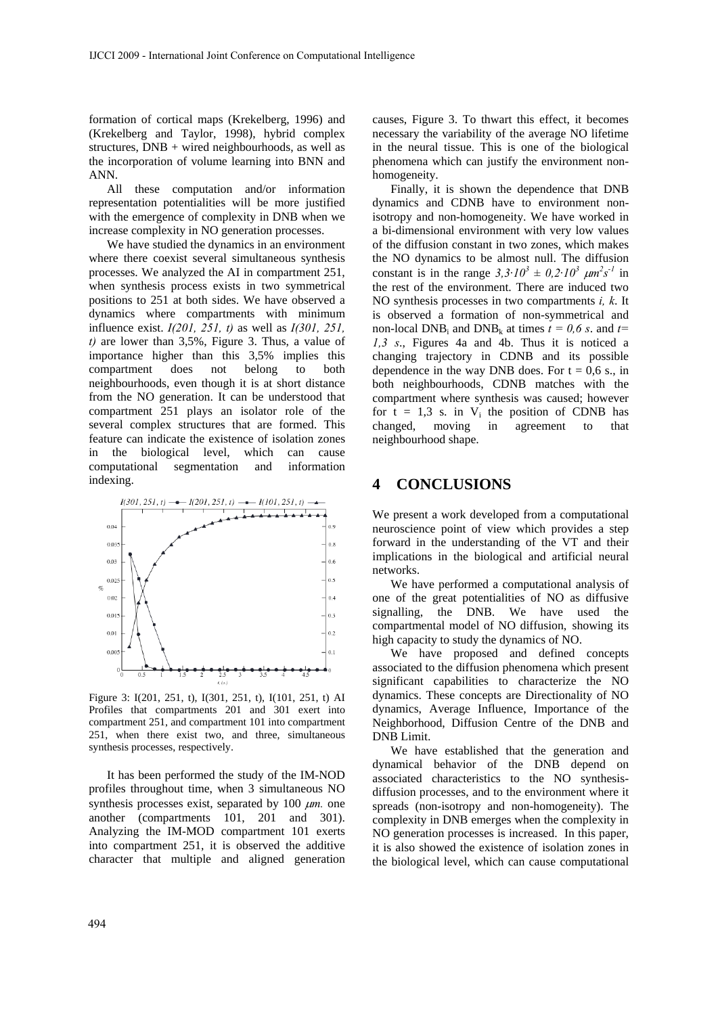formation of cortical maps (Krekelberg, 1996) and (Krekelberg and Taylor, 1998), hybrid complex structures, DNB + wired neighbourhoods, as well as the incorporation of volume learning into BNN and ANN.

All these computation and/or information representation potentialities will be more justified with the emergence of complexity in DNB when we increase complexity in NO generation processes.

We have studied the dynamics in an environment where there coexist several simultaneous synthesis processes. We analyzed the AI in compartment 251, when synthesis process exists in two symmetrical positions to 251 at both sides. We have observed a dynamics where compartments with minimum influence exist. *I(201, 251, t)* as well as *I(301, 251, t)* are lower than 3,5%, Figure 3. Thus, a value of importance higher than this 3,5% implies this compartment does not belong to both neighbourhoods, even though it is at short distance from the NO generation. It can be understood that compartment 251 plays an isolator role of the several complex structures that are formed. This feature can indicate the existence of isolation zones in the biological level, which can cause computational segmentation and information indexing.



Figure 3: I(201, 251, t), I(301, 251, t), I(101, 251, t) AI Profiles that compartments 201 and 301 exert into compartment 251, and compartment 101 into compartment 251, when there exist two, and three, simultaneous synthesis processes, respectively.

It has been performed the study of the IM-NOD profiles throughout time, when 3 simultaneous NO synthesis processes exist, separated by 100 μ*m.* one another (compartments 101, 201 and 301). Analyzing the IM-MOD compartment 101 exerts into compartment 251, it is observed the additive character that multiple and aligned generation

causes, Figure 3. To thwart this effect, it becomes necessary the variability of the average NO lifetime in the neural tissue. This is one of the biological phenomena which can justify the environment nonhomogeneity.

Finally, it is shown the dependence that DNB dynamics and CDNB have to environment nonisotropy and non-homogeneity. We have worked in a bi-dimensional environment with very low values of the diffusion constant in two zones, which makes the NO dynamics to be almost null. The diffusion constant is in the range  $3.3 \cdot 10^3 \pm 0.2 \cdot 10^3 \mu m^2 s^{-1}$  in the rest of the environment. There are induced two NO synthesis processes in two compartments *i, k*. It is observed a formation of non-symmetrical and non-local DNB<sub>i</sub> and DNB<sub>k</sub> at times  $t = 0.6$  s, and  $t=$ *1,3 s*., Figures 4a and 4b. Thus it is noticed a changing trajectory in CDNB and its possible dependence in the way DNB does. For  $t = 0.6$  s., in both neighbourhoods, CDNB matches with the compartment where synthesis was caused; however for  $t = 1,3$  s. in  $V_i$  the position of CDNB has changed, moving in agreement to that neighbourhood shape.

### **4 CONCLUSIONS**

We present a work developed from a computational neuroscience point of view which provides a step forward in the understanding of the VT and their implications in the biological and artificial neural networks.

We have performed a computational analysis of one of the great potentialities of NO as diffusive signalling, the DNB. We have used the compartmental model of NO diffusion, showing its high capacity to study the dynamics of NO.

We have proposed and defined concepts associated to the diffusion phenomena which present significant capabilities to characterize the NO dynamics. These concepts are Directionality of NO dynamics, Average Influence, Importance of the Neighborhood, Diffusion Centre of the DNB and DNB Limit.

We have established that the generation and dynamical behavior of the DNB depend on associated characteristics to the NO synthesisdiffusion processes, and to the environment where it spreads (non-isotropy and non-homogeneity). The complexity in DNB emerges when the complexity in NO generation processes is increased. In this paper, it is also showed the existence of isolation zones in the biological level, which can cause computational